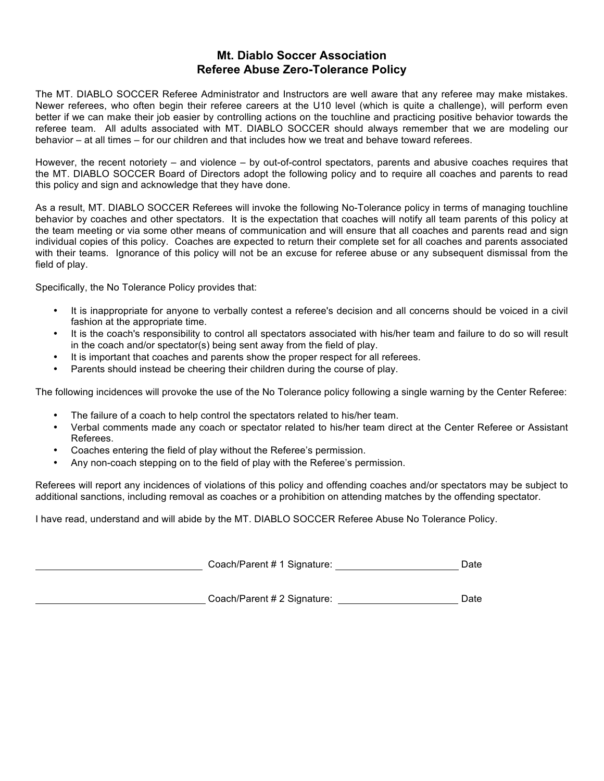## **Mt. Diablo Soccer Association Referee Abuse Zero-Tolerance Policy**

The MT. DIABLO SOCCER Referee Administrator and Instructors are well aware that any referee may make mistakes. Newer referees, who often begin their referee careers at the U10 level (which is quite a challenge), will perform even better if we can make their job easier by controlling actions on the touchline and practicing positive behavior towards the referee team. All adults associated with MT. DIABLO SOCCER should always remember that we are modeling our behavior – at all times – for our children and that includes how we treat and behave toward referees.

However, the recent notoriety – and violence – by out-of-control spectators, parents and abusive coaches requires that the MT. DIABLO SOCCER Board of Directors adopt the following policy and to require all coaches and parents to read this policy and sign and acknowledge that they have done.

As a result, MT. DIABLO SOCCER Referees will invoke the following No-Tolerance policy in terms of managing touchline behavior by coaches and other spectators. It is the expectation that coaches will notify all team parents of this policy at the team meeting or via some other means of communication and will ensure that all coaches and parents read and sign individual copies of this policy. Coaches are expected to return their complete set for all coaches and parents associated with their teams. Ignorance of this policy will not be an excuse for referee abuse or any subsequent dismissal from the field of play.

Specifically, the No Tolerance Policy provides that:

- It is inappropriate for anyone to verbally contest a referee's decision and all concerns should be voiced in a civil fashion at the appropriate time.
- It is the coach's responsibility to control all spectators associated with his/her team and failure to do so will result in the coach and/or spectator(s) being sent away from the field of play.
- It is important that coaches and parents show the proper respect for all referees.
- Parents should instead be cheering their children during the course of play.

The following incidences will provoke the use of the No Tolerance policy following a single warning by the Center Referee:

- The failure of a coach to help control the spectators related to his/her team.
- Verbal comments made any coach or spectator related to his/her team direct at the Center Referee or Assistant Referees.
- Coaches entering the field of play without the Referee's permission.
- Any non-coach stepping on to the field of play with the Referee's permission.

Referees will report any incidences of violations of this policy and offending coaches and/or spectators may be subject to additional sanctions, including removal as coaches or a prohibition on attending matches by the offending spectator.

I have read, understand and will abide by the MT. DIABLO SOCCER Referee Abuse No Tolerance Policy.

Coach/Parent # 1 Signature: Date

Coach/Parent # 2 Signature: Date